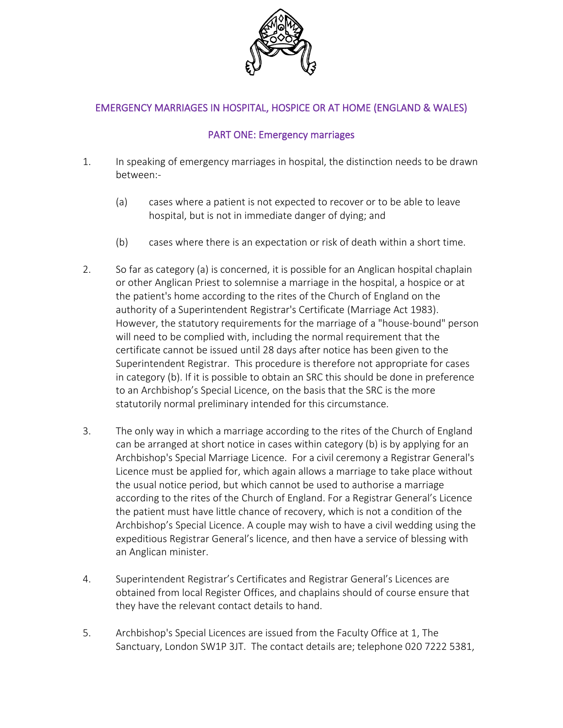

# EMERGENCY MARRIAGES IN HOSPITAL, HOSPICE OR AT HOME (ENGLAND & WALES)

## PART ONE: Emergency marriages

- 1. In speaking of emergency marriages in hospital, the distinction needs to be drawn between:-
	- (a) cases where a patient is not expected to recover or to be able to leave hospital, but is not in immediate danger of dying; and
	- (b) cases where there is an expectation or risk of death within a short time.
- 2. So far as category (a) is concerned, it is possible for an Anglican hospital chaplain or other Anglican Priest to solemnise a marriage in the hospital, a hospice or at the patient's home according to the rites of the Church of England on the authority of a Superintendent Registrar's Certificate (Marriage Act 1983). However, the statutory requirements for the marriage of a "house-bound" person will need to be complied with, including the normal requirement that the certificate cannot be issued until 28 days after notice has been given to the Superintendent Registrar. This procedure is therefore not appropriate for cases in category (b). If it is possible to obtain an SRC this should be done in preference to an Archbishop's Special Licence, on the basis that the SRC is the more statutorily normal preliminary intended for this circumstance.
- 3. The only way in which a marriage according to the rites of the Church of England can be arranged at short notice in cases within category (b) is by applying for an Archbishop's Special Marriage Licence. For a civil ceremony a Registrar General's Licence must be applied for, which again allows a marriage to take place without the usual notice period, but which cannot be used to authorise a marriage according to the rites of the Church of England. For a Registrar General's Licence the patient must have little chance of recovery, which is not a condition of the Archbishop's Special Licence. A couple may wish to have a civil wedding using the expeditious Registrar General's licence, and then have a service of blessing with an Anglican minister.
- 4. Superintendent Registrar's Certificates and Registrar General's Licences are obtained from local Register Offices, and chaplains should of course ensure that they have the relevant contact details to hand.
- 5. Archbishop's Special Licences are issued from the Faculty Office at 1, The Sanctuary, London SW1P 3JT. The contact details are; telephone 020 7222 5381,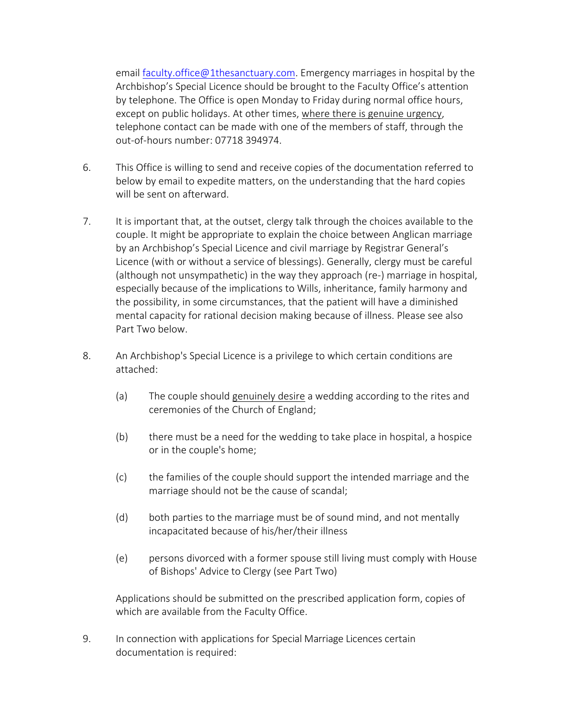email **faculty.office@1thesanctuary.com**. Emergency marriages in hospital by the Archbishop's Special Licence should be brought to the Faculty Office's attention by telephone. The Office is open Monday to Friday during normal office hours, except on public holidays. At other times, where there is genuine urgency, telephone contact can be made with one of the members of staff, through the out-of-hours number: 07718 394974.

- 6. This Office is willing to send and receive copies of the documentation referred to below by email to expedite matters, on the understanding that the hard copies will be sent on afterward.
- 7. It is important that, at the outset, clergy talk through the choices available to the couple. It might be appropriate to explain the choice between Anglican marriage by an Archbishop's Special Licence and civil marriage by Registrar General's Licence (with or without a service of blessings). Generally, clergy must be careful (although not unsympathetic) in the way they approach (re-) marriage in hospital, especially because of the implications to Wills, inheritance, family harmony and the possibility, in some circumstances, that the patient will have a diminished mental capacity for rational decision making because of illness. Please see also Part Two below.
- 8. An Archbishop's Special Licence is a privilege to which certain conditions are attached:
	- (a) The couple should genuinely desire a wedding according to the rites and ceremonies of the Church of England;
	- (b) there must be a need for the wedding to take place in hospital, a hospice or in the couple's home;
	- (c) the families of the couple should support the intended marriage and the marriage should not be the cause of scandal;
	- (d) both parties to the marriage must be of sound mind, and not mentally incapacitated because of his/her/their illness
	- (e) persons divorced with a former spouse still living must comply with House of Bishops' Advice to Clergy (see Part Two)

Applications should be submitted on the prescribed application form, copies of which are available from the Faculty Office.

9. In connection with applications for Special Marriage Licences certain documentation is required: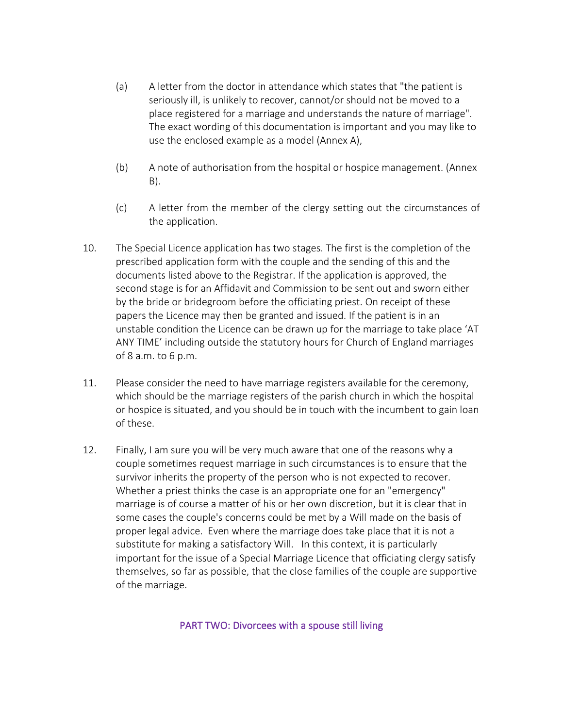- (a) A letter from the doctor in attendance which states that "the patient is seriously ill, is unlikely to recover, cannot/or should not be moved to a place registered for a marriage and understands the nature of marriage". The exact wording of this documentation is important and you may like to use the enclosed example as a model (Annex A),
- (b) A note of authorisation from the hospital or hospice management. (Annex B).
- (c) A letter from the member of the clergy setting out the circumstances of the application.
- 10. The Special Licence application has two stages. The first is the completion of the prescribed application form with the couple and the sending of this and the documents listed above to the Registrar. If the application is approved, the second stage is for an Affidavit and Commission to be sent out and sworn either by the bride or bridegroom before the officiating priest. On receipt of these papers the Licence may then be granted and issued. If the patient is in an unstable condition the Licence can be drawn up for the marriage to take place 'AT ANY TIME' including outside the statutory hours for Church of England marriages of 8 a.m. to 6 p.m.
- 11. Please consider the need to have marriage registers available for the ceremony, which should be the marriage registers of the parish church in which the hospital or hospice is situated, and you should be in touch with the incumbent to gain loan of these.
- 12. Finally, I am sure you will be very much aware that one of the reasons why a couple sometimes request marriage in such circumstances is to ensure that the survivor inherits the property of the person who is not expected to recover. Whether a priest thinks the case is an appropriate one for an "emergency" marriage is of course a matter of his or her own discretion, but it is clear that in some cases the couple's concerns could be met by a Will made on the basis of proper legal advice. Even where the marriage does take place that it is not a substitute for making a satisfactory Will. In this context, it is particularly important for the issue of a Special Marriage Licence that officiating clergy satisfy themselves, so far as possible, that the close families of the couple are supportive of the marriage.

#### PART TWO: Divorcees with a spouse still living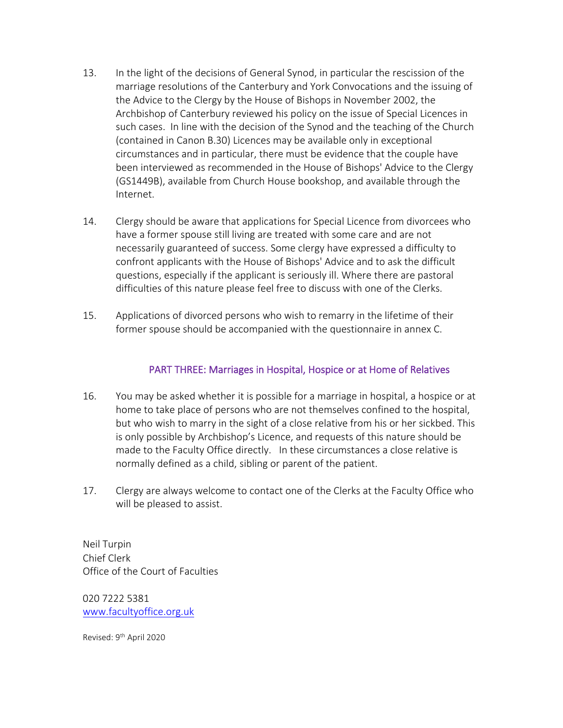- 13. In the light of the decisions of General Synod, in particular the rescission of the marriage resolutions of the Canterbury and York Convocations and the issuing of the Advice to the Clergy by the House of Bishops in November 2002, the Archbishop of Canterbury reviewed his policy on the issue of Special Licences in such cases. In line with the decision of the Synod and the teaching of the Church (contained in Canon B.30) Licences may be available only in exceptional circumstances and in particular, there must be evidence that the couple have been interviewed as recommended in the House of Bishops' Advice to the Clergy (GS1449B), available from Church House bookshop, and available through the Internet.
- 14. Clergy should be aware that applications for Special Licence from divorcees who have a former spouse still living are treated with some care and are not necessarily guaranteed of success. Some clergy have expressed a difficulty to confront applicants with the House of Bishops' Advice and to ask the difficult questions, especially if the applicant is seriously ill. Where there are pastoral difficulties of this nature please feel free to discuss with one of the Clerks.
- 15. Applications of divorced persons who wish to remarry in the lifetime of their former spouse should be accompanied with the questionnaire in annex C.

#### PART THREE: Marriages in Hospital, Hospice or at Home of Relatives

- 16. You may be asked whether it is possible for a marriage in hospital, a hospice or at home to take place of persons who are not themselves confined to the hospital, but who wish to marry in the sight of a close relative from his or her sickbed. This is only possible by Archbishop's Licence, and requests of this nature should be made to the Faculty Office directly. In these circumstances a close relative is normally defined as a child, sibling or parent of the patient.
- 17. Clergy are always welcome to contact one of the Clerks at the Faculty Office who will be pleased to assist.

Neil Turpin Chief Clerk Office of the Court of Faculties

020 7222 5381 [www.facultyoffice.org.uk](file:///M:/Documents%20and%20Settings/lxt/Local%20Settings/Temporary%20Internet%20Files/Local%20Settings/Temporary%20Internet%20Files/www.facultyoffice.org.uk)

Revised: 9<sup>th</sup> April 2020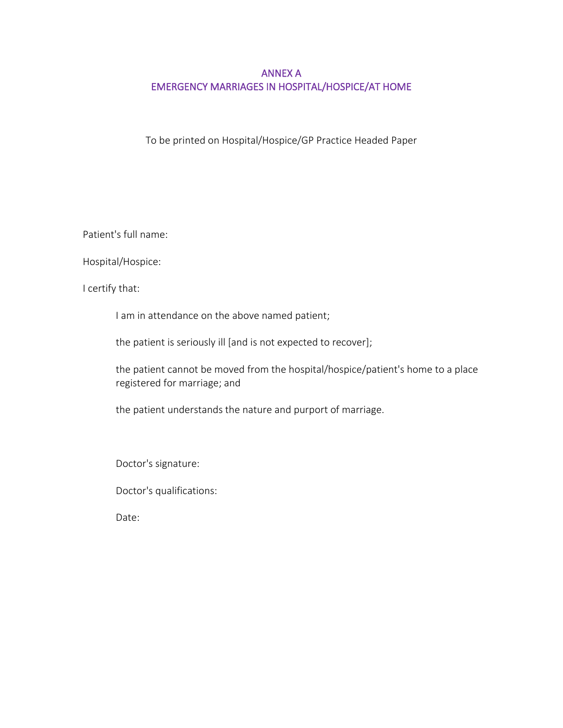## ANNEX A EMERGENCY MARRIAGES IN HOSPITAL/HOSPICE/AT HOME

To be printed on Hospital/Hospice/GP Practice Headed Paper

Patient's full name:

Hospital/Hospice:

I certify that:

I am in attendance on the above named patient;

the patient is seriously ill [and is not expected to recover];

the patient cannot be moved from the hospital/hospice/patient's home to a place registered for marriage; and

the patient understands the nature and purport of marriage.

Doctor's signature:

Doctor's qualifications:

Date: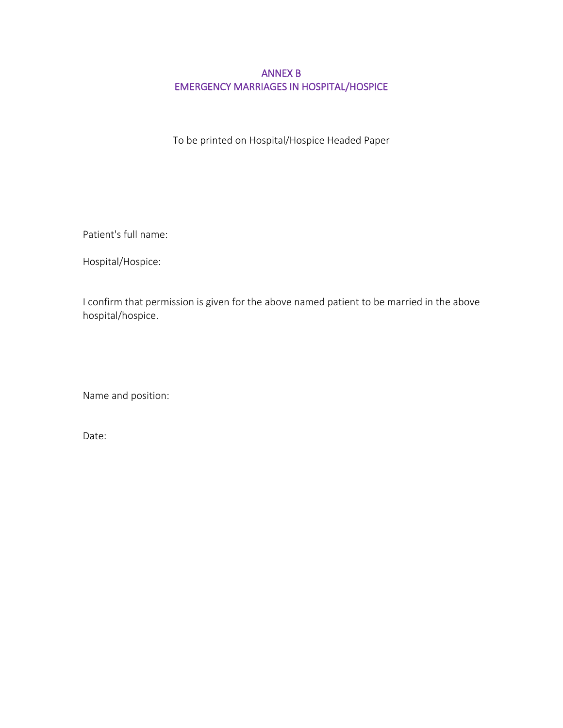### ANNEX B EMERGENCY MARRIAGES IN HOSPITAL/HOSPICE

To be printed on Hospital/Hospice Headed Paper

Patient's full name:

Hospital/Hospice:

I confirm that permission is given for the above named patient to be married in the above hospital/hospice.

Name and position:

Date: